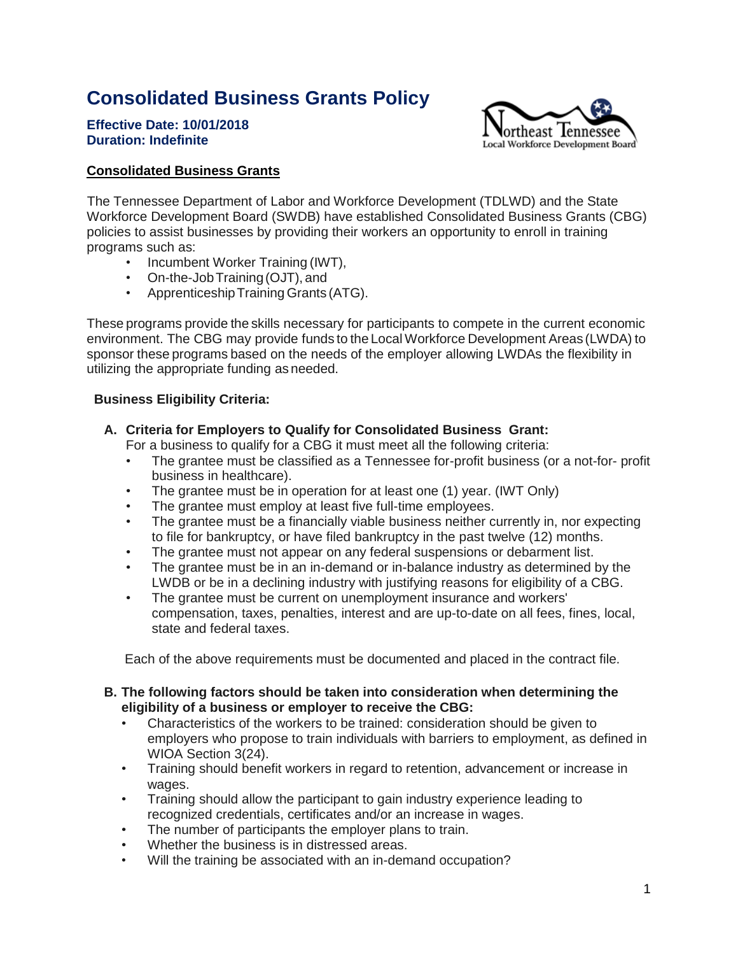# **Consolidated Business Grants Policy**

**Effective Date: 10/01/2018 Duration: Indefinite**



#### **Consolidated Business Grants**

The Tennessee Department of Labor and Workforce Development (TDLWD) and the State Workforce Development Board (SWDB) have established Consolidated Business Grants (CBG) policies to assist businesses by providing their workers an opportunity to enroll in training programs such as:

- Incumbent Worker Training (IWT),
- On-the-JobTraining(OJT), and
- Apprenticeship Training Grants (ATG).

These programs provide the skills necessary for participants to compete in the current economic environment. The CBG may provide funds to the LocalWorkforce Development Areas (LWDA) to sponsor these programs based on the needs of the employer allowing LWDAs the flexibility in utilizing the appropriate funding as needed.

#### **Business Eligibility Criteria:**

**A. Criteria for Employers to Qualify for Consolidated Business Grant:**

For a business to qualify for a CBG it must meet all the following criteria:

- The grantee must be classified as a Tennessee for-profit business (or a not-for- profit business in healthcare).
- The grantee must be in operation for at least one (1) year. (IWT Only)
- The grantee must employ at least five full-time employees.
- The grantee must be a financially viable business neither currently in, nor expecting to file for bankruptcy, or have filed bankruptcy in the past twelve (12) months.
- The grantee must not appear on any federal suspensions or debarment list.
- The grantee must be in an in-demand or in-balance industry as determined by the LWDB or be in a declining industry with justifying reasons for eligibility of a CBG.
- The grantee must be current on unemployment insurance and workers' compensation, taxes, penalties, interest and are up-to-date on all fees, fines, local, state and federal taxes.

Each of the above requirements must be documented and placed in the contract file.

#### **B. The following factors should be taken into consideration when determining the eligibility of a business or employer to receive the CBG:**

- Characteristics of the workers to be trained: consideration should be given to employers who propose to train individuals with barriers to employment, as defined in WIOA Section 3(24).
- Training should benefit workers in regard to retention, advancement or increase in wages.
- Training should allow the participant to gain industry experience leading to recognized credentials, certificates and/or an increase in wages.
- The number of participants the employer plans to train.
- Whether the business is in distressed areas.
- Will the training be associated with an in-demand occupation?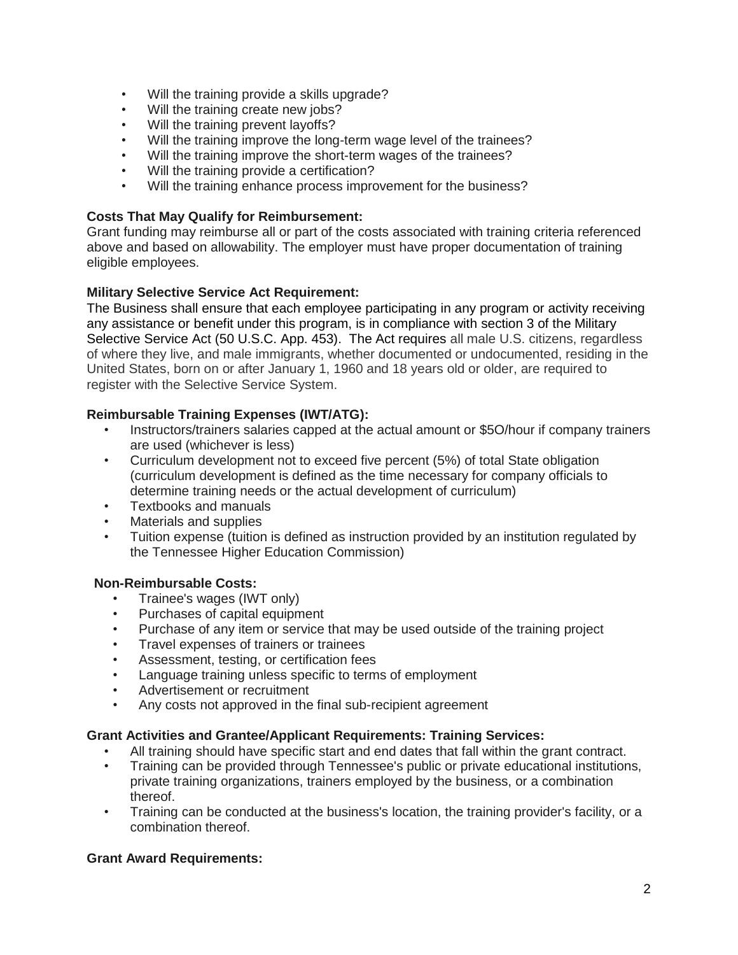- Will the training provide a skills upgrade?
- Will the training create new jobs?
- Will the training prevent layoffs?
- Will the training improve the long-term wage level of the trainees?
- Will the training improve the short-term wages of the trainees?
- Will the training provide a certification?
- Will the training enhance process improvement for the business?

## **Costs That May Qualify for Reimbursement:**

Grant funding may reimburse all or part of the costs associated with training criteria referenced above and based on allowability. The employer must have proper documentation of training eligible employees.

## **Military Selective Service Act Requirement:**

The Business shall ensure that each employee participating in any program or activity receiving any assistance or benefit under this program, is in compliance with section 3 of the Military Selective Service Act (50 U.S.C. App. 453). The Act requires all male U.S. citizens, regardless of where they live, and male immigrants, whether documented or undocumented, residing in the United States, born on or after January 1, 1960 and 18 years old or older, are required to register with the Selective Service System.

## **Reimbursable Training Expenses (IWT/ATG):**

- Instructors/trainers salaries capped at the actual amount or \$5O/hour if company trainers are used (whichever is less)
- Curriculum development not to exceed five percent (5%) of total State obligation (curriculum development is defined as the time necessary for company officials to determine training needs or the actual development of curriculum)
- Textbooks and manuals
- Materials and supplies
- Tuition expense (tuition is defined as instruction provided by an institution regulated by the Tennessee Higher Education Commission)

#### **Non-Reimbursable Costs:**

- Trainee's wages (IWT only)
- Purchases of capital equipment
- Purchase of any item or service that may be used outside of the training project
- Travel expenses of trainers or trainees
- Assessment, testing, or certification fees
- Language training unless specific to terms of employment
- Advertisement or recruitment
- Any costs not approved in the final sub-recipient agreement

#### **Grant Activities and Grantee/Applicant Requirements: Training Services:**

- All training should have specific start and end dates that fall within the grant contract.
- Training can be provided through Tennessee's public or private educational institutions, private training organizations, trainers employed by the business, or a combination thereof.
- Training can be conducted at the business's location, the training provider's facility, or a combination thereof.

#### **Grant Award Requirements:**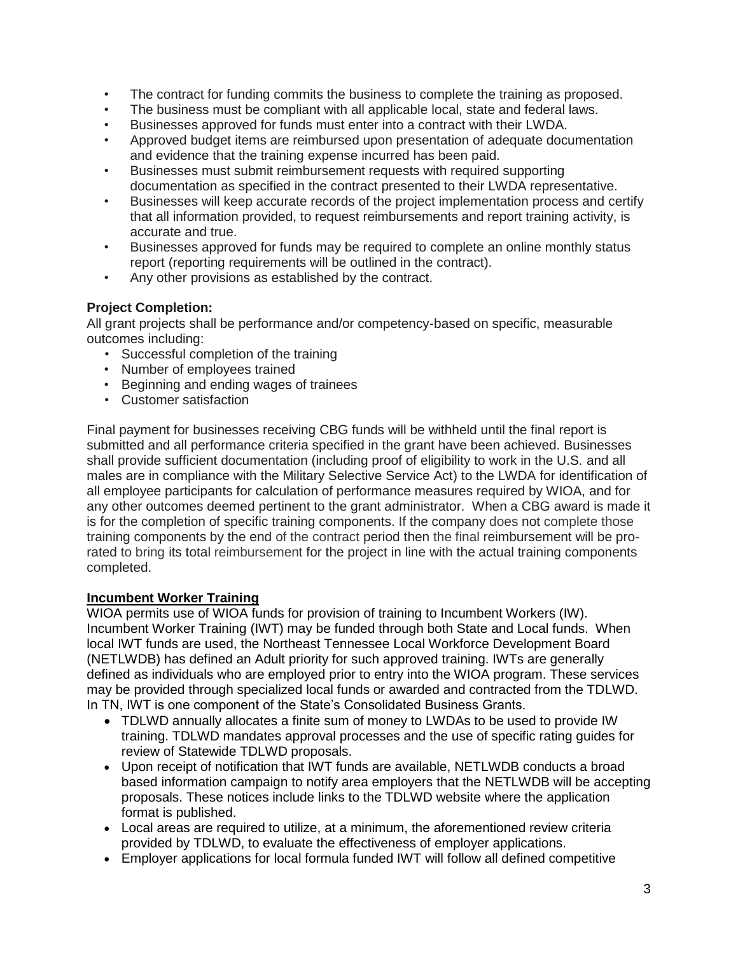- The contract for funding commits the business to complete the training as proposed.
- The business must be compliant with all applicable local, state and federal laws.
- Businesses approved for funds must enter into a contract with their LWDA.
- Approved budget items are reimbursed upon presentation of adequate documentation and evidence that the training expense incurred has been paid.
- Businesses must submit reimbursement requests with required supporting documentation as specified in the contract presented to their LWDA representative.
- Businesses will keep accurate records of the project implementation process and certify that all information provided, to request reimbursements and report training activity, is accurate and true.
- Businesses approved for funds may be required to complete an online monthly status report (reporting requirements will be outlined in the contract).
- Any other provisions as established by the contract.

## **Project Completion:**

All grant projects shall be performance and/or competency-based on specific, measurable outcomes including:

- Successful completion of the training
- Number of employees trained
- Beginning and ending wages of trainees
- Customer satisfaction

Final payment for businesses receiving CBG funds will be withheld until the final report is submitted and all performance criteria specified in the grant have been achieved. Businesses shall provide sufficient documentation (including proof of eligibility to work in the U.S. and all males are in compliance with the Military Selective Service Act) to the LWDA for identification of all employee participants for calculation of performance measures required by WIOA, and for any other outcomes deemed pertinent to the grant administrator. When a CBG award is made it is for the completion of specific training components. If the company does not complete those training components by the end of the contract period then the final reimbursement will be prorated to bring its total reimbursement for the project in line with the actual training components completed.

## **Incumbent Worker Training**

WIOA permits use of WIOA funds for provision of training to Incumbent Workers (IW). Incumbent Worker Training (IWT) may be funded through both State and Local funds. When local IWT funds are used, the Northeast Tennessee Local Workforce Development Board (NETLWDB) has defined an Adult priority for such approved training. IWTs are generally defined as individuals who are employed prior to entry into the WIOA program. These services may be provided through specialized local funds or awarded and contracted from the TDLWD. In TN, IWT is one component of the State's Consolidated Business Grants.

- TDLWD annually allocates a finite sum of money to LWDAs to be used to provide IW training. TDLWD mandates approval processes and the use of specific rating guides for review of Statewide TDLWD proposals.
- Upon receipt of notification that IWT funds are available, NETLWDB conducts a broad based information campaign to notify area employers that the NETLWDB will be accepting proposals. These notices include links to the TDLWD website where the application format is published.
- Local areas are required to utilize, at a minimum, the aforementioned review criteria provided by TDLWD, to evaluate the effectiveness of employer applications.
- Employer applications for local formula funded IWT will follow all defined competitive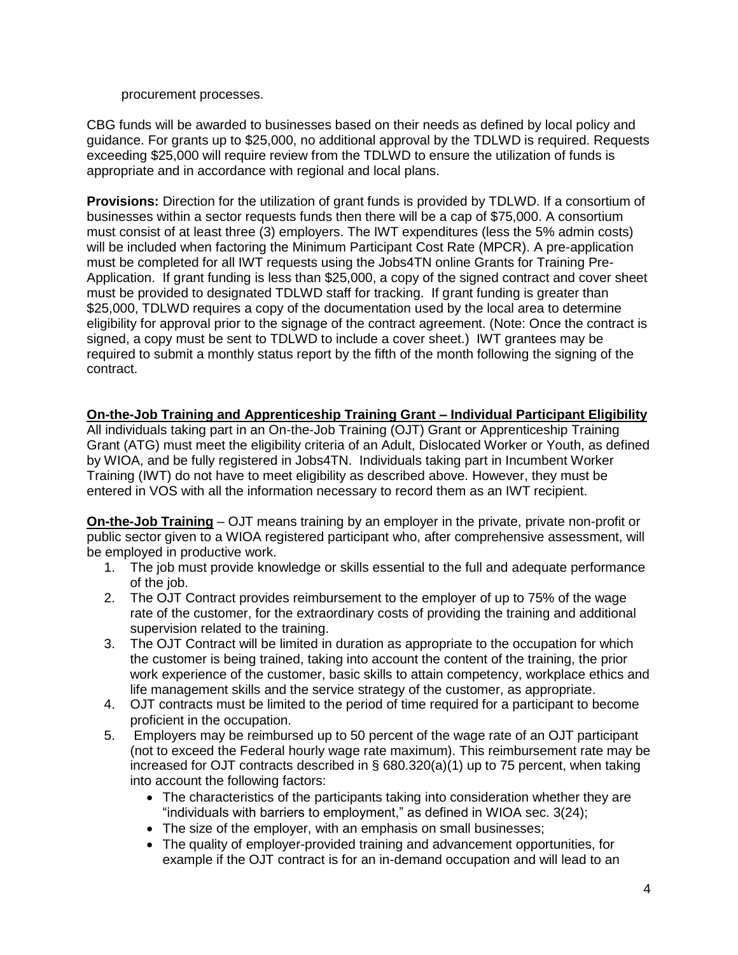procurement processes.

CBG funds will be awarded to businesses based on their needs as defined by local policy and guidance. For grants up to \$25,000, no additional approval by the TDLWD is required. Requests exceeding \$25,000 will require review from the TDLWD to ensure the utilization of funds is appropriate and in accordance with regional and local plans.

**Provisions:** Direction for the utilization of grant funds is provided by TDLWD. If a consortium of businesses within a sector requests funds then there will be a cap of \$75,000. A consortium must consist of at least three (3) employers. The IWT expenditures (less the 5% admin costs) will be included when factoring the Minimum Participant Cost Rate (MPCR). A pre-application must be completed for all IWT requests using the Jobs4TN online Grants for Training Pre-Application. If grant funding is less than \$25,000, a copy of the signed contract and cover sheet must be provided to designated TDLWD staff for tracking. If grant funding is greater than \$25,000, TDLWD requires a copy of the documentation used by the local area to determine eligibility for approval prior to the signage of the contract agreement. (Note: Once the contract is signed, a copy must be sent to TDLWD to include a cover sheet.) IWT grantees may be required to submit a monthly status report by the fifth of the month following the signing of the contract.

# **On-the-Job Training and Apprenticeship Training Grant – Individual Participant Eligibility**

All individuals taking part in an On-the-Job Training (OJT) Grant or Apprenticeship Training Grant (ATG) must meet the eligibility criteria of an Adult, Dislocated Worker or Youth, as defined by WIOA, and be fully registered in Jobs4TN. Individuals taking part in Incumbent Worker Training (IWT) do not have to meet eligibility as described above. However, they must be entered in VOS with all the information necessary to record them as an IWT recipient.

**On-the-Job Training** – OJT means training by an employer in the private, private non-profit or public sector given to a WIOA registered participant who, after comprehensive assessment, will be employed in productive work.

- 1. The job must provide knowledge or skills essential to the full and adequate performance of the job.
- 2. The OJT Contract provides reimbursement to the employer of up to 75% of the wage rate of the customer, for the extraordinary costs of providing the training and additional supervision related to the training.
- 3. The OJT Contract will be limited in duration as appropriate to the occupation for which the customer is being trained, taking into account the content of the training, the prior work experience of the customer, basic skills to attain competency, workplace ethics and life management skills and the service strategy of the customer, as appropriate.
- 4. OJT contracts must be limited to the period of time required for a participant to become proficient in the occupation.
- 5. Employers may be reimbursed up to 50 percent of the wage rate of an OJT participant (not to exceed the Federal hourly wage rate maximum). This reimbursement rate may be increased for OJT [contracts](https://www.law.cornell.edu/definitions/index.php?width=840&height=800&iframe=true&def_id=77b4eb8b15df766568784291d74c9882&term_occur=2&term_src=Title%3A20%3AChapter%3AV%3APart%3A680%3ASubpart%3AF%3A680.730) described in § 680.320(a)(1) up to 75 percent, when taking into account the following factors:
	- The characteristics of the [participants](https://www.law.cornell.edu/definitions/index.php?width=840&height=800&iframe=true&def_id=e5c194c12e0425fc7d053bfdb3aeef52&term_occur=1&term_src=Title%3A20%3AChapter%3AV%3APart%3A680%3ASubpart%3AF%3A680.730) taking into consideration whether they are "individuals with barriers to employment," as defined in [WIOA](https://www.law.cornell.edu/definitions/index.php?width=840&height=800&iframe=true&def_id=c65248b637fecb3bc87b5095b19b494d&term_occur=1&term_src=Title%3A20%3AChapter%3AV%3APart%3A680%3ASubpart%3AF%3A680.730) sec. 3(24);
	- The size of the [employer,](https://www.law.cornell.edu/definitions/index.php?width=840&height=800&iframe=true&def_id=f5fa1bd336151038ef33802286d066eb&term_occur=1&term_src=Title%3A20%3AChapter%3AV%3APart%3A680%3ASubpart%3AF%3A680.730) with an emphasis on small businesses;
	- The quality of [employer-](https://www.law.cornell.edu/definitions/index.php?width=840&height=800&iframe=true&def_id=f5fa1bd336151038ef33802286d066eb&term_occur=2&term_src=Title%3A20%3AChapter%3AV%3APart%3A680%3ASubpart%3AF%3A680.730)provided training and advancement opportunities, for example if the OJT [contract](https://www.law.cornell.edu/definitions/index.php?width=840&height=800&iframe=true&def_id=77b4eb8b15df766568784291d74c9882&term_occur=3&term_src=Title%3A20%3AChapter%3AV%3APart%3A680%3ASubpart%3AF%3A680.730) is for an in-demand occupation and will lead to an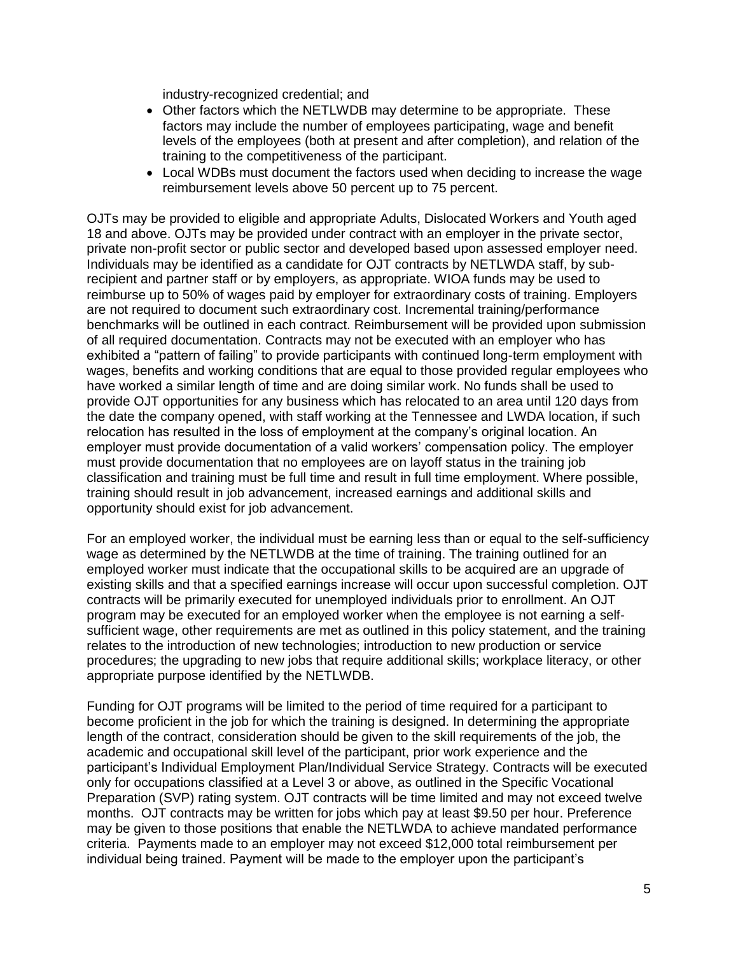industry-recognized credential; and

- Other factors [which the NETLWDB](https://www.law.cornell.edu/definitions/index.php?width=840&height=800&iframe=true&def_id=6f668ef49abc1e8a3f0f1f93f7a15a8a&term_occur=2&term_src=Title%3A20%3AChapter%3AV%3APart%3A680%3ASubpart%3AF%3A680.730) may determine to be appropriate. These factors may include the number of employees participating, wage and benefit levels of the employees (both at present and after completion), and relation of the training to the competitiveness of the [participant.](https://www.law.cornell.edu/definitions/index.php?width=840&height=800&iframe=true&def_id=e5c194c12e0425fc7d053bfdb3aeef52&term_occur=2&term_src=Title%3A20%3AChapter%3AV%3APart%3A680%3ASubpart%3AF%3A680.730)
- [Local WDBs](https://www.law.cornell.edu/definitions/index.php?width=840&height=800&iframe=true&def_id=6f668ef49abc1e8a3f0f1f93f7a15a8a&term_occur=3&term_src=Title%3A20%3AChapter%3AV%3APart%3A680%3ASubpart%3AF%3A680.730) must document the factors used when deciding to increase the wage reimbursement levels above 50 percent up to 75 percent.

OJTs may be provided to eligible and appropriate Adults, Dislocated Workers and Youth aged 18 and above. OJTs may be provided under contract with an employer in the private sector, private non-profit sector or public sector and developed based upon assessed employer need. Individuals may be identified as a candidate for OJT contracts by NETLWDA staff, by subrecipient and partner staff or by employers, as appropriate. WIOA funds may be used to reimburse up to 50% of wages paid by employer for extraordinary costs of training. Employers are not required to document such extraordinary cost. Incremental training/performance benchmarks will be outlined in each contract. Reimbursement will be provided upon submission of all required documentation. Contracts may not be executed with an employer who has exhibited a "pattern of failing" to provide participants with continued long-term employment with wages, benefits and working conditions that are equal to those provided regular employees who have worked a similar length of time and are doing similar work. No funds shall be used to provide OJT opportunities for any business which has relocated to an area until 120 days from the date the company opened, with staff working at the Tennessee and LWDA location, if such relocation has resulted in the loss of employment at the company's original location. An employer must provide documentation of a valid workers' compensation policy. The employer must provide documentation that no employees are on layoff status in the training job classification and training must be full time and result in full time employment. Where possible, training should result in job advancement, increased earnings and additional skills and opportunity should exist for job advancement.

For an employed worker, the individual must be earning less than or equal to the self-sufficiency wage as determined by the NETLWDB at the time of training. The training outlined for an employed worker must indicate that the occupational skills to be acquired are an upgrade of existing skills and that a specified earnings increase will occur upon successful completion. OJT contracts will be primarily executed for unemployed individuals prior to enrollment. An OJT program may be executed for an employed worker when the employee is not earning a selfsufficient wage, other requirements are met as outlined in this policy statement, and the training relates to the introduction of new technologies; introduction to new production or service procedures; the upgrading to new jobs that require additional skills; workplace literacy, or other appropriate purpose identified by the NETLWDB.

Funding for OJT programs will be limited to the period of time required for a participant to become proficient in the job for which the training is designed. In determining the appropriate length of the contract, consideration should be given to the skill requirements of the job, the academic and occupational skill level of the participant, prior work experience and the participant's Individual Employment Plan/Individual Service Strategy. Contracts will be executed only for occupations classified at a Level 3 or above, as outlined in the Specific Vocational Preparation (SVP) rating system. OJT contracts will be time limited and may not exceed twelve months. OJT contracts may be written for jobs which pay at least \$9.50 per hour. Preference may be given to those positions that enable the NETLWDA to achieve mandated performance criteria. Payments made to an employer may not exceed \$12,000 total reimbursement per individual being trained. Payment will be made to the employer upon the participant's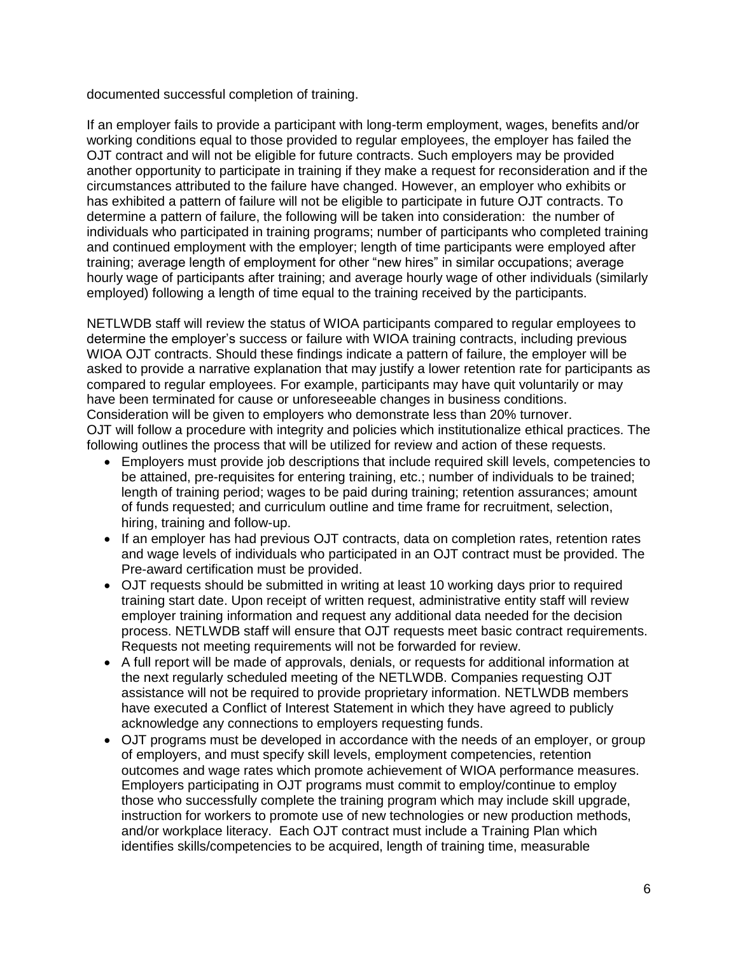documented successful completion of training.

If an employer fails to provide a participant with long-term employment, wages, benefits and/or working conditions equal to those provided to regular employees, the employer has failed the OJT contract and will not be eligible for future contracts. Such employers may be provided another opportunity to participate in training if they make a request for reconsideration and if the circumstances attributed to the failure have changed. However, an employer who exhibits or has exhibited a pattern of failure will not be eligible to participate in future OJT contracts. To determine a pattern of failure, the following will be taken into consideration: the number of individuals who participated in training programs; number of participants who completed training and continued employment with the employer; length of time participants were employed after training; average length of employment for other "new hires" in similar occupations; average hourly wage of participants after training; and average hourly wage of other individuals (similarly employed) following a length of time equal to the training received by the participants.

NETLWDB staff will review the status of WIOA participants compared to regular employees to determine the employer's success or failure with WIOA training contracts, including previous WIOA OJT contracts. Should these findings indicate a pattern of failure, the employer will be asked to provide a narrative explanation that may justify a lower retention rate for participants as compared to regular employees. For example, participants may have quit voluntarily or may have been terminated for cause or unforeseeable changes in business conditions. Consideration will be given to employers who demonstrate less than 20% turnover. OJT will follow a procedure with integrity and policies which institutionalize ethical practices. The following outlines the process that will be utilized for review and action of these requests.

- Employers must provide job descriptions that include required skill levels, competencies to be attained, pre-requisites for entering training, etc.; number of individuals to be trained; length of training period; wages to be paid during training; retention assurances; amount of funds requested; and curriculum outline and time frame for recruitment, selection, hiring, training and follow-up.
- If an employer has had previous OJT contracts, data on completion rates, retention rates and wage levels of individuals who participated in an OJT contract must be provided. The Pre-award certification must be provided.
- OJT requests should be submitted in writing at least 10 working days prior to required training start date. Upon receipt of written request, administrative entity staff will review employer training information and request any additional data needed for the decision process. NETLWDB staff will ensure that OJT requests meet basic contract requirements. Requests not meeting requirements will not be forwarded for review.
- A full report will be made of approvals, denials, or requests for additional information at the next regularly scheduled meeting of the NETLWDB. Companies requesting OJT assistance will not be required to provide proprietary information. NETLWDB members have executed a Conflict of Interest Statement in which they have agreed to publicly acknowledge any connections to employers requesting funds.
- OJT programs must be developed in accordance with the needs of an employer, or group of employers, and must specify skill levels, employment competencies, retention outcomes and wage rates which promote achievement of WIOA performance measures. Employers participating in OJT programs must commit to employ/continue to employ those who successfully complete the training program which may include skill upgrade, instruction for workers to promote use of new technologies or new production methods, and/or workplace literacy. Each OJT contract must include a Training Plan which identifies skills/competencies to be acquired, length of training time, measurable